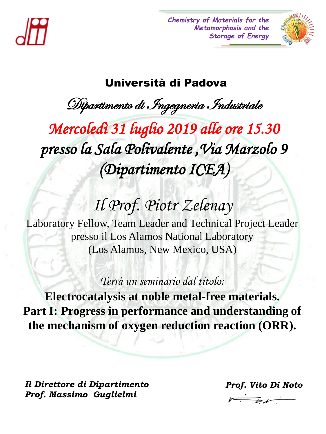

*Chemistry of Materials for the Metamorphosis and the Storage of Energy*



# Università di Padova

Dipartimento di Ingegneria Industriale

Lunedì 16 Giugno alle **ore 15.30** Mercoledì 31 luglio 2019 alle ore 15.30  $\sum_{i=1}^{n} a_i$ Proprietunte ICLYL *presso la Sala Polivalente ,Via Marzolo 9 (Dipartimento ICEA)*

# $U = V \cup W$ int $U$ *Il Prof. Piotr Zelenay*

Laboratory Fellow, Team Leader and Technical Project Leader presso il Los Alamos National Laboratory (Los Alamos, New Mexico, USA)

> *Redox Behaviour – Implications for Catalysis Terrà un seminario dal titolo:*

*Unique Chemistry of Heterocyclic Carbenes and their Complexes:* 

**Electrocatalysis at noble metal-free materials. Part I: Progress in performance and understanding of the mechanism of oxygen reduction reaction (ORR).**

*Il Direttore di Dipartimento Prof. Massimo Guglielmi*

*Prof. Vito Di Noto*  $V\rightarrow V$